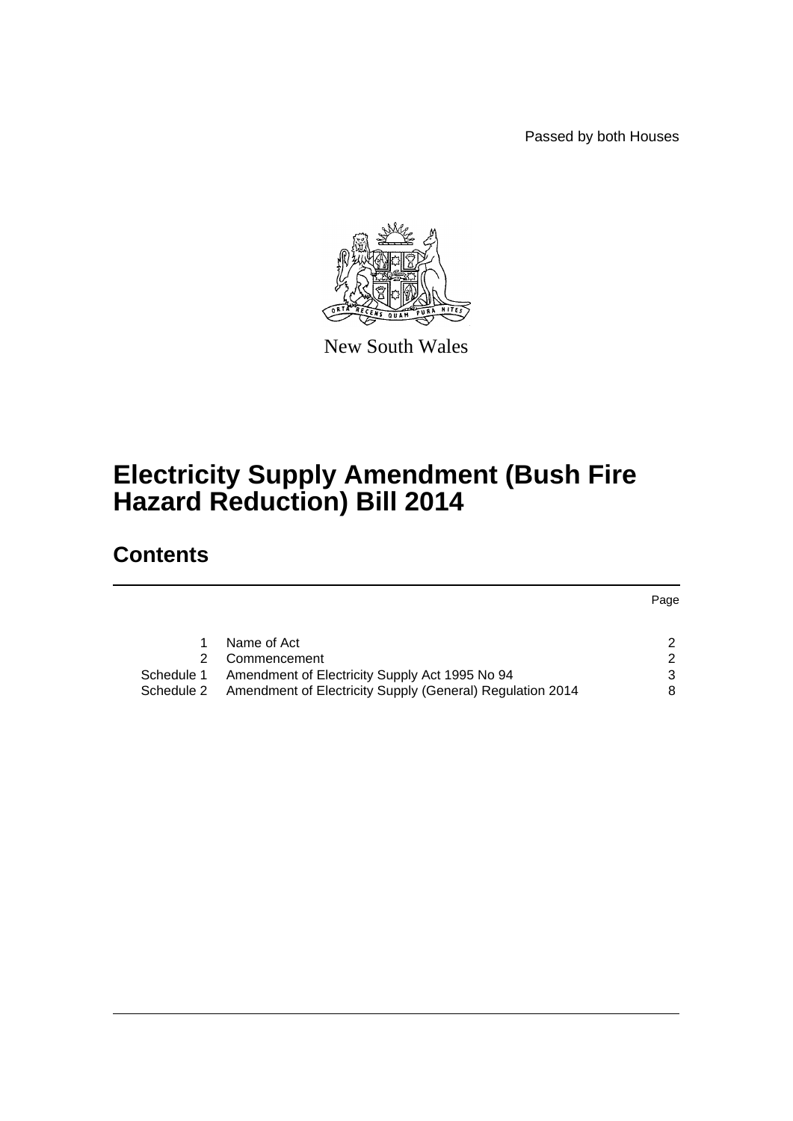Passed by both Houses



New South Wales

# **Electricity Supply Amendment (Bush Fire Hazard Reduction) Bill 2014**

# **Contents**

|            |                                                           | Page |
|------------|-----------------------------------------------------------|------|
|            |                                                           |      |
|            | Name of Act                                               | 2    |
|            | Commencement                                              | ົ    |
| Schedule 1 | Amendment of Electricity Supply Act 1995 No 94            |      |
| Schedule 2 | Amendment of Electricity Supply (General) Regulation 2014 |      |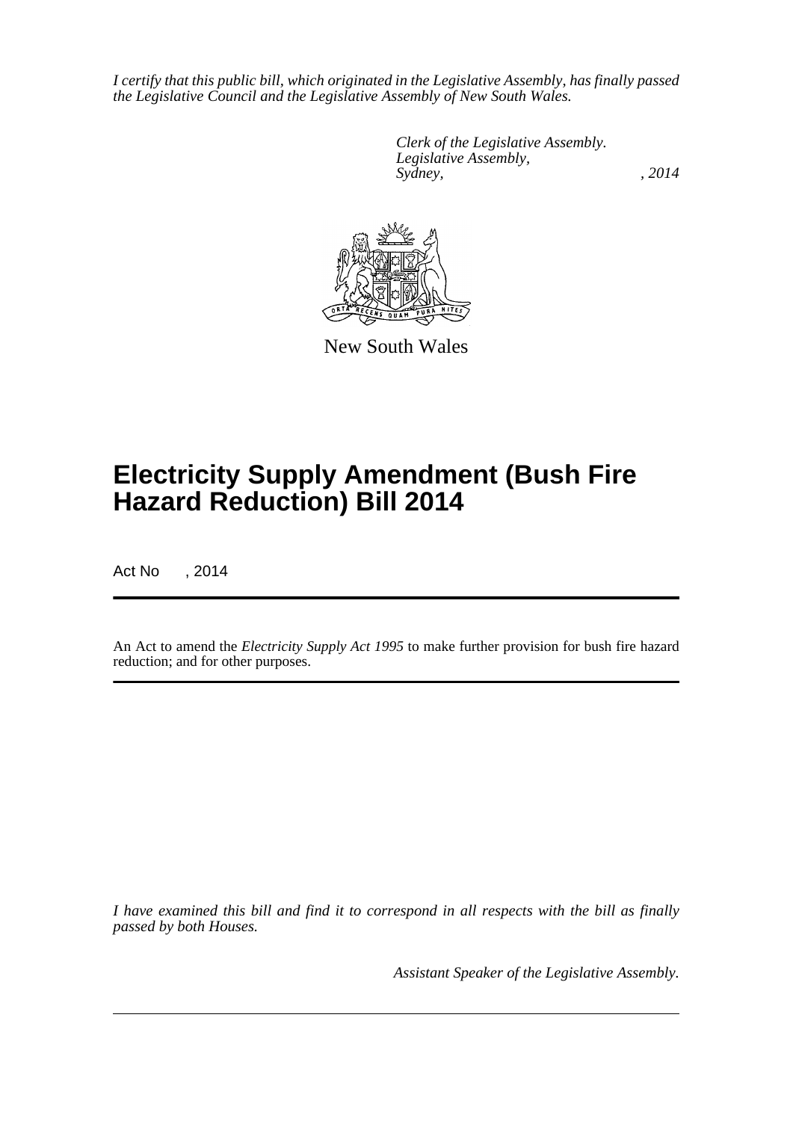*I certify that this public bill, which originated in the Legislative Assembly, has finally passed the Legislative Council and the Legislative Assembly of New South Wales.*

> *Clerk of the Legislative Assembly. Legislative Assembly, Sydney,* , 2014



New South Wales

# **Electricity Supply Amendment (Bush Fire Hazard Reduction) Bill 2014**

Act No , 2014

An Act to amend the *Electricity Supply Act 1995* to make further provision for bush fire hazard reduction; and for other purposes.

*I have examined this bill and find it to correspond in all respects with the bill as finally passed by both Houses.*

*Assistant Speaker of the Legislative Assembly.*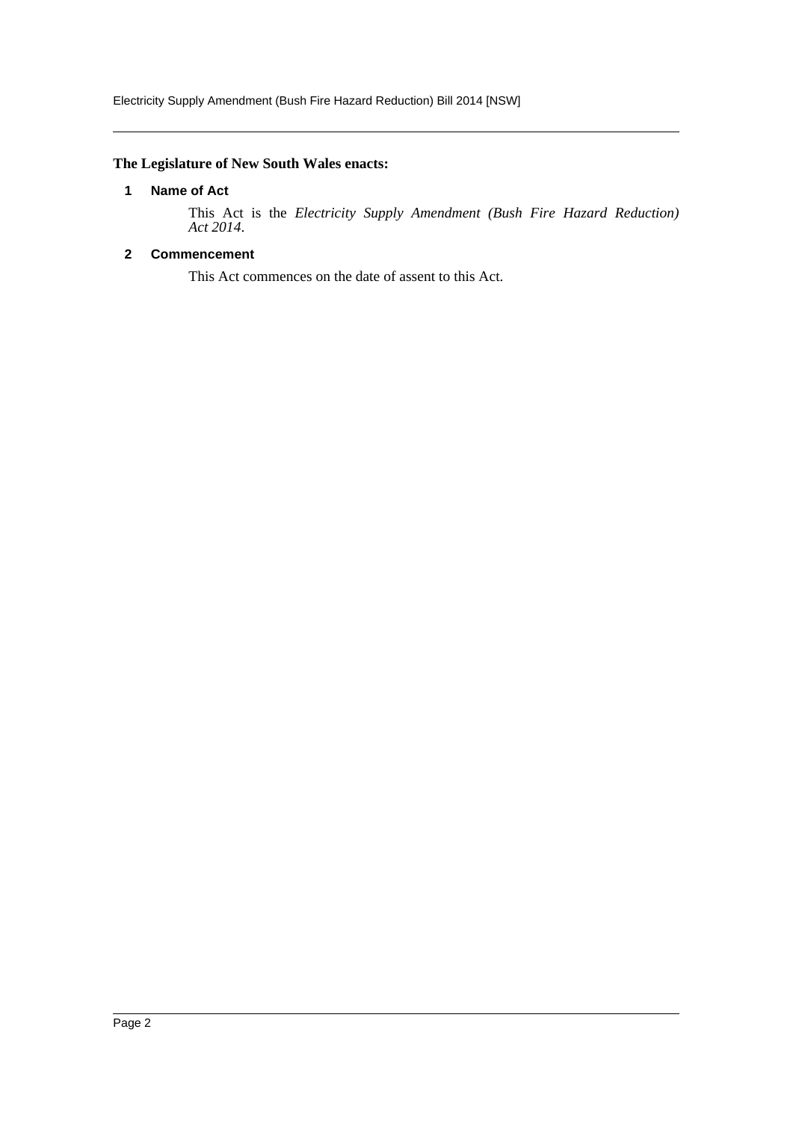# <span id="page-2-0"></span>**The Legislature of New South Wales enacts:**

# **1 Name of Act**

This Act is the *Electricity Supply Amendment (Bush Fire Hazard Reduction) Act 2014*.

# <span id="page-2-1"></span>**2 Commencement**

This Act commences on the date of assent to this Act.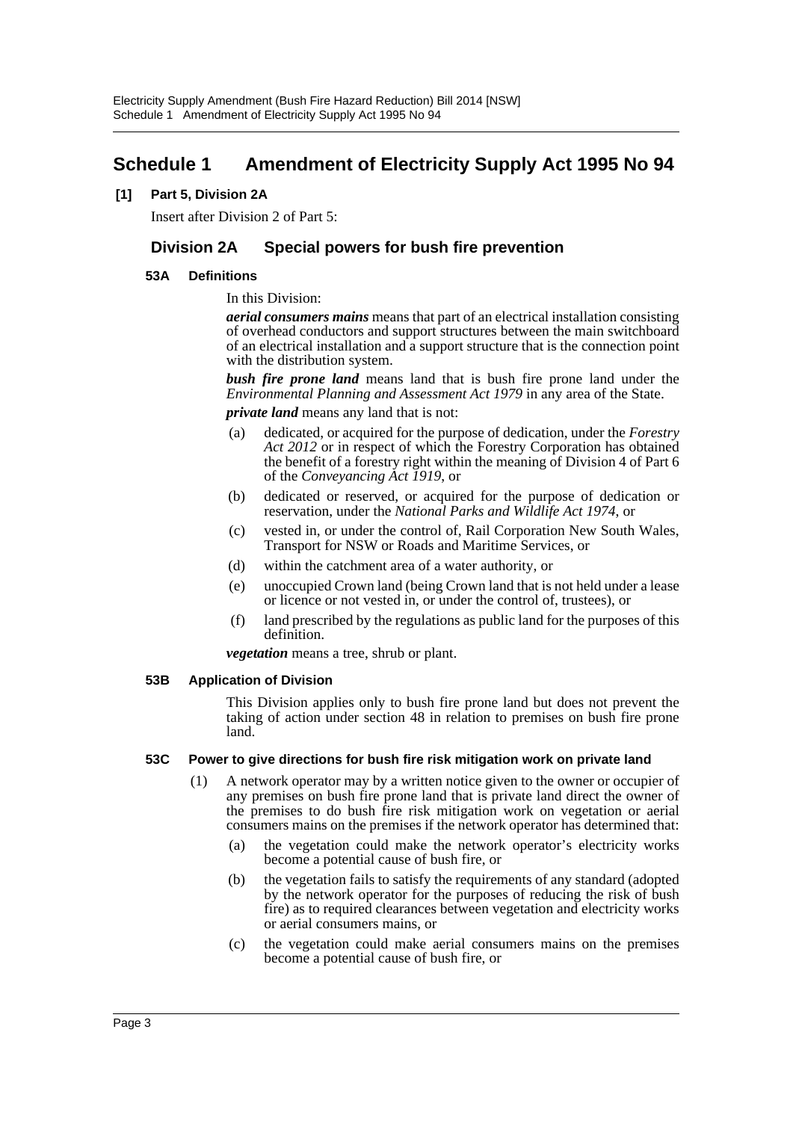# <span id="page-3-0"></span>**Schedule 1 Amendment of Electricity Supply Act 1995 No 94**

# **[1] Part 5, Division 2A**

Insert after Division 2 of Part 5:

# **Division 2A Special powers for bush fire prevention**

# **53A Definitions**

# In this Division:

*aerial consumers mains* means that part of an electrical installation consisting of overhead conductors and support structures between the main switchboard of an electrical installation and a support structure that is the connection point with the distribution system.

*bush fire prone land* means land that is bush fire prone land under the *Environmental Planning and Assessment Act 1979* in any area of the State.

*private land* means any land that is not:

- (a) dedicated, or acquired for the purpose of dedication, under the *Forestry Act 2012* or in respect of which the Forestry Corporation has obtained the benefit of a forestry right within the meaning of Division 4 of Part 6 of the *Conveyancing Act 1919*, or
- (b) dedicated or reserved, or acquired for the purpose of dedication or reservation, under the *National Parks and Wildlife Act 1974*, or
- (c) vested in, or under the control of, Rail Corporation New South Wales, Transport for NSW or Roads and Maritime Services, or
- (d) within the catchment area of a water authority, or
- (e) unoccupied Crown land (being Crown land that is not held under a lease or licence or not vested in, or under the control of, trustees), or
- (f) land prescribed by the regulations as public land for the purposes of this definition.

*vegetation* means a tree, shrub or plant.

# **53B Application of Division**

This Division applies only to bush fire prone land but does not prevent the taking of action under section 48 in relation to premises on bush fire prone land.

# **53C Power to give directions for bush fire risk mitigation work on private land**

- (1) A network operator may by a written notice given to the owner or occupier of any premises on bush fire prone land that is private land direct the owner of the premises to do bush fire risk mitigation work on vegetation or aerial consumers mains on the premises if the network operator has determined that:
	- (a) the vegetation could make the network operator's electricity works become a potential cause of bush fire, or
	- (b) the vegetation fails to satisfy the requirements of any standard (adopted by the network operator for the purposes of reducing the risk of bush fire) as to required clearances between vegetation and electricity works or aerial consumers mains, or
	- (c) the vegetation could make aerial consumers mains on the premises become a potential cause of bush fire, or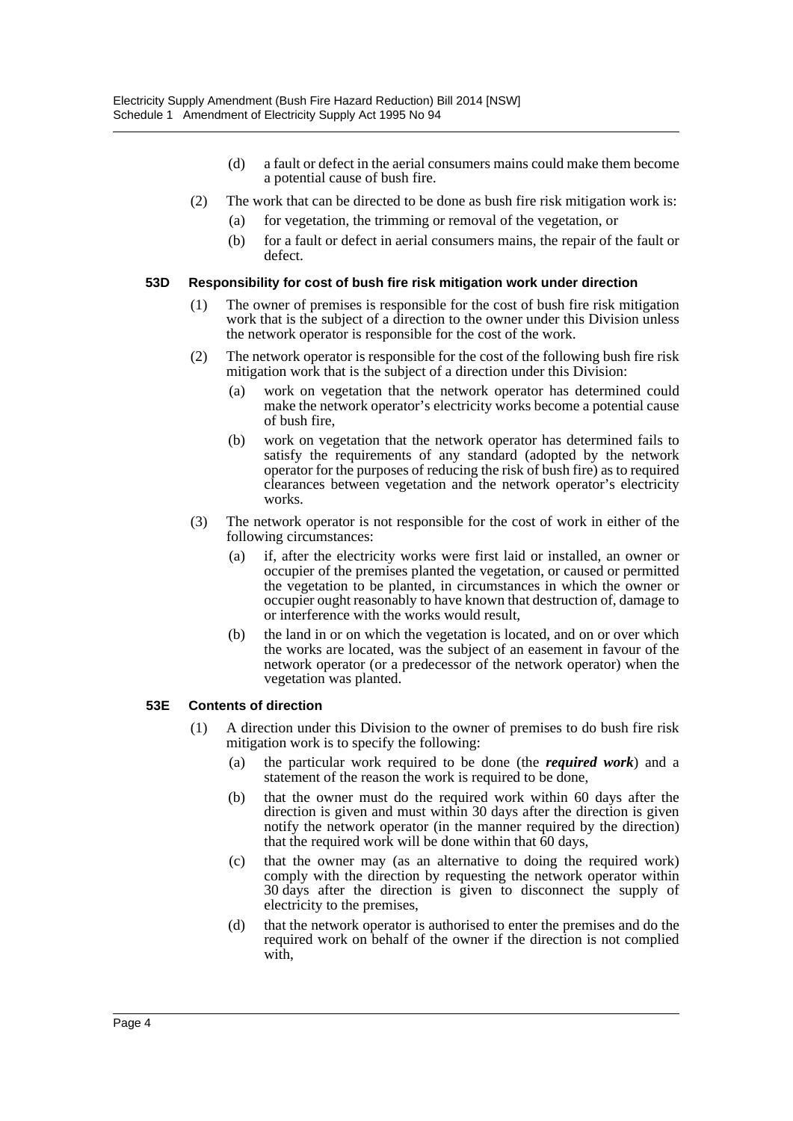- (d) a fault or defect in the aerial consumers mains could make them become a potential cause of bush fire.
- (2) The work that can be directed to be done as bush fire risk mitigation work is:
	- (a) for vegetation, the trimming or removal of the vegetation, or
	- (b) for a fault or defect in aerial consumers mains, the repair of the fault or defect.

#### **53D Responsibility for cost of bush fire risk mitigation work under direction**

- (1) The owner of premises is responsible for the cost of bush fire risk mitigation work that is the subject of a direction to the owner under this Division unless the network operator is responsible for the cost of the work.
- (2) The network operator is responsible for the cost of the following bush fire risk mitigation work that is the subject of a direction under this Division:
	- (a) work on vegetation that the network operator has determined could make the network operator's electricity works become a potential cause of bush fire,
	- (b) work on vegetation that the network operator has determined fails to satisfy the requirements of any standard (adopted by the network operator for the purposes of reducing the risk of bush fire) as to required clearances between vegetation and the network operator's electricity works.
- (3) The network operator is not responsible for the cost of work in either of the following circumstances:
	- (a) if, after the electricity works were first laid or installed, an owner or occupier of the premises planted the vegetation, or caused or permitted the vegetation to be planted, in circumstances in which the owner or occupier ought reasonably to have known that destruction of, damage to or interference with the works would result,
	- (b) the land in or on which the vegetation is located, and on or over which the works are located, was the subject of an easement in favour of the network operator (or a predecessor of the network operator) when the vegetation was planted.

#### **53E Contents of direction**

- (1) A direction under this Division to the owner of premises to do bush fire risk mitigation work is to specify the following:
	- (a) the particular work required to be done (the *required work*) and a statement of the reason the work is required to be done,
	- (b) that the owner must do the required work within 60 days after the direction is given and must within 30 days after the direction is given notify the network operator (in the manner required by the direction) that the required work will be done within that 60 days,
	- (c) that the owner may (as an alternative to doing the required work) comply with the direction by requesting the network operator within 30 days after the direction is given to disconnect the supply of electricity to the premises,
	- (d) that the network operator is authorised to enter the premises and do the required work on behalf of the owner if the direction is not complied with,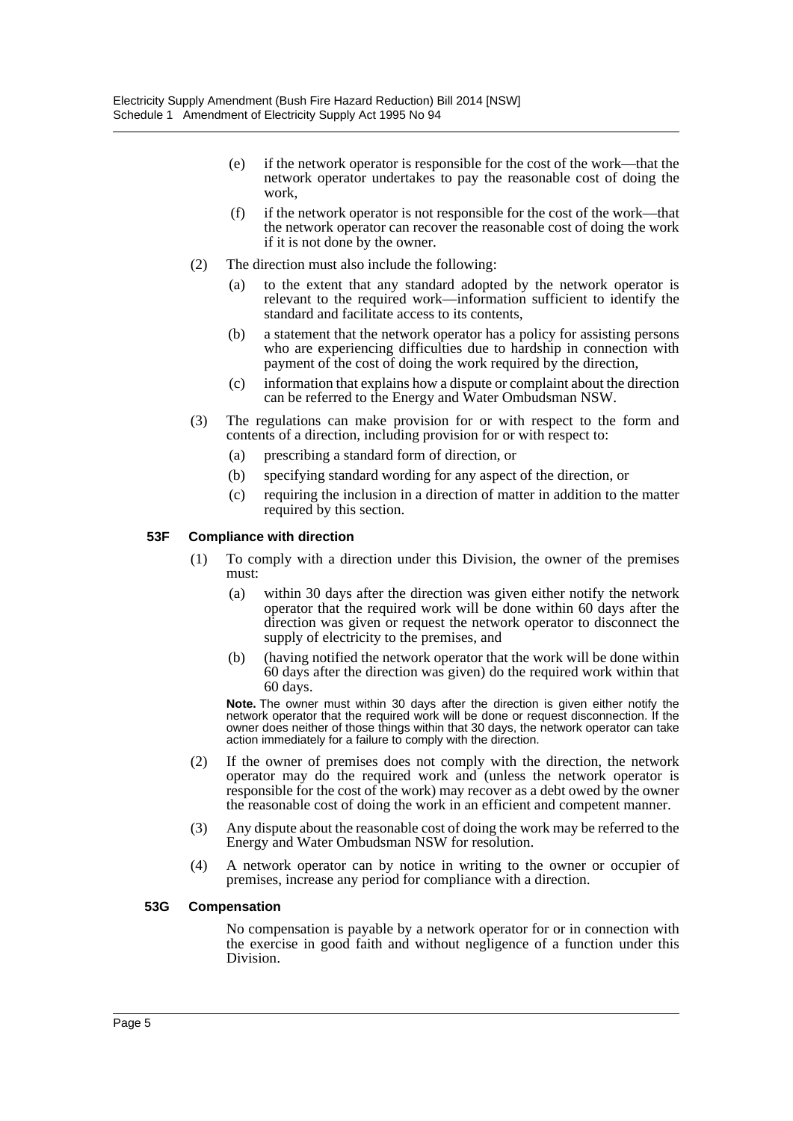- (e) if the network operator is responsible for the cost of the work—that the network operator undertakes to pay the reasonable cost of doing the work,
- (f) if the network operator is not responsible for the cost of the work—that the network operator can recover the reasonable cost of doing the work if it is not done by the owner.
- (2) The direction must also include the following:
	- (a) to the extent that any standard adopted by the network operator is relevant to the required work—information sufficient to identify the standard and facilitate access to its contents,
	- (b) a statement that the network operator has a policy for assisting persons who are experiencing difficulties due to hardship in connection with payment of the cost of doing the work required by the direction,
	- (c) information that explains how a dispute or complaint about the direction can be referred to the Energy and Water Ombudsman NSW.
- (3) The regulations can make provision for or with respect to the form and contents of a direction, including provision for or with respect to:
	- (a) prescribing a standard form of direction, or
	- (b) specifying standard wording for any aspect of the direction, or
	- (c) requiring the inclusion in a direction of matter in addition to the matter required by this section.

# **53F Compliance with direction**

- (1) To comply with a direction under this Division, the owner of the premises must:
	- (a) within 30 days after the direction was given either notify the network operator that the required work will be done within 60 days after the direction was given or request the network operator to disconnect the supply of electricity to the premises, and
	- (b) (having notified the network operator that the work will be done within 60 days after the direction was given) do the required work within that 60 days.

**Note.** The owner must within 30 days after the direction is given either notify the network operator that the required work will be done or request disconnection. If the owner does neither of those things within that 30 days, the network operator can take action immediately for a failure to comply with the direction.

- (2) If the owner of premises does not comply with the direction, the network operator may do the required work and (unless the network operator is responsible for the cost of the work) may recover as a debt owed by the owner the reasonable cost of doing the work in an efficient and competent manner.
- (3) Any dispute about the reasonable cost of doing the work may be referred to the Energy and Water Ombudsman NSW for resolution.
- (4) A network operator can by notice in writing to the owner or occupier of premises, increase any period for compliance with a direction.

# **53G Compensation**

No compensation is payable by a network operator for or in connection with the exercise in good faith and without negligence of a function under this Division.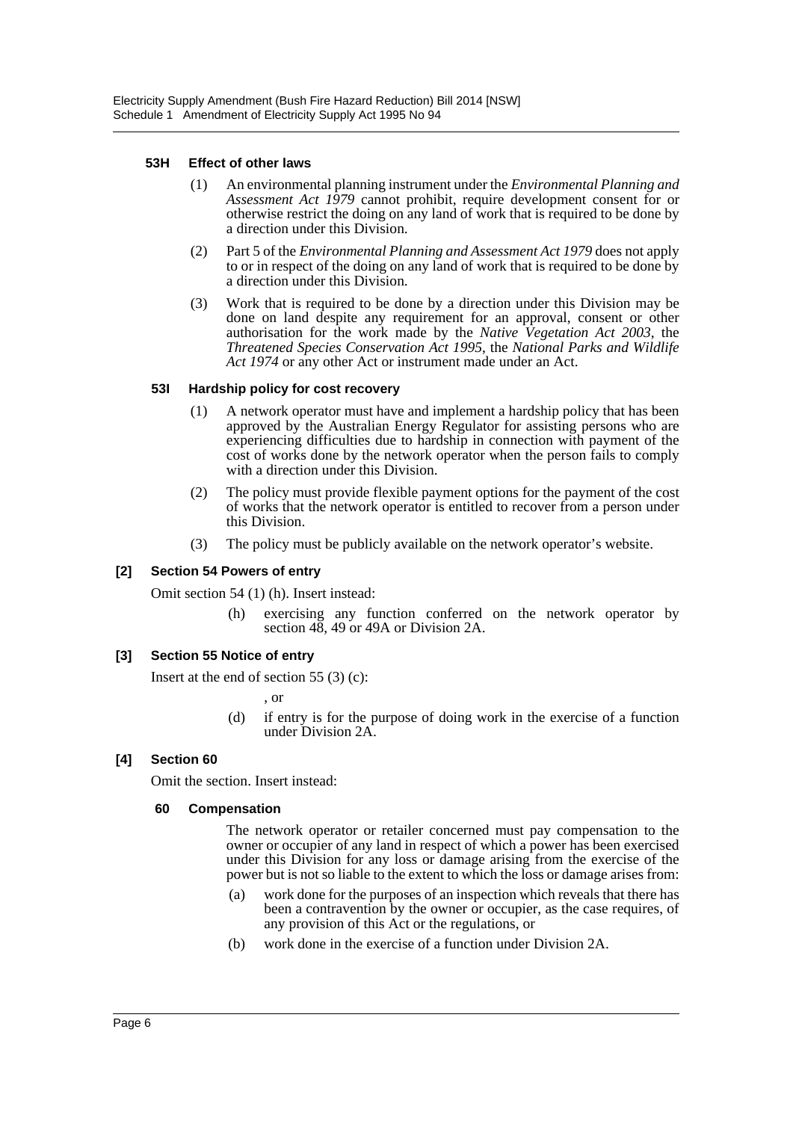# **53H Effect of other laws**

- (1) An environmental planning instrument under the *Environmental Planning and Assessment Act 1979* cannot prohibit, require development consent for or otherwise restrict the doing on any land of work that is required to be done by a direction under this Division.
- (2) Part 5 of the *Environmental Planning and Assessment Act 1979* does not apply to or in respect of the doing on any land of work that is required to be done by a direction under this Division.
- (3) Work that is required to be done by a direction under this Division may be done on land despite any requirement for an approval, consent or other authorisation for the work made by the *Native Vegetation Act 2003*, the *Threatened Species Conservation Act 1995*, the *National Parks and Wildlife Act 1974* or any other Act or instrument made under an Act.

# **53I Hardship policy for cost recovery**

- (1) A network operator must have and implement a hardship policy that has been approved by the Australian Energy Regulator for assisting persons who are experiencing difficulties due to hardship in connection with payment of the cost of works done by the network operator when the person fails to comply with a direction under this Division.
- (2) The policy must provide flexible payment options for the payment of the cost of works that the network operator is entitled to recover from a person under this Division.
- (3) The policy must be publicly available on the network operator's website.

# **[2] Section 54 Powers of entry**

Omit section 54 (1) (h). Insert instead:

(h) exercising any function conferred on the network operator by section 48, 49 or 49A or Division 2A.

# **[3] Section 55 Notice of entry**

Insert at the end of section 55  $(3)$  (c):

, or

(d) if entry is for the purpose of doing work in the exercise of a function under Division 2A.

# **[4] Section 60**

Omit the section. Insert instead:

# **60 Compensation**

The network operator or retailer concerned must pay compensation to the owner or occupier of any land in respect of which a power has been exercised under this Division for any loss or damage arising from the exercise of the power but is not so liable to the extent to which the loss or damage arises from:

- (a) work done for the purposes of an inspection which reveals that there has been a contravention by the owner or occupier, as the case requires, of any provision of this Act or the regulations, or
- (b) work done in the exercise of a function under Division 2A.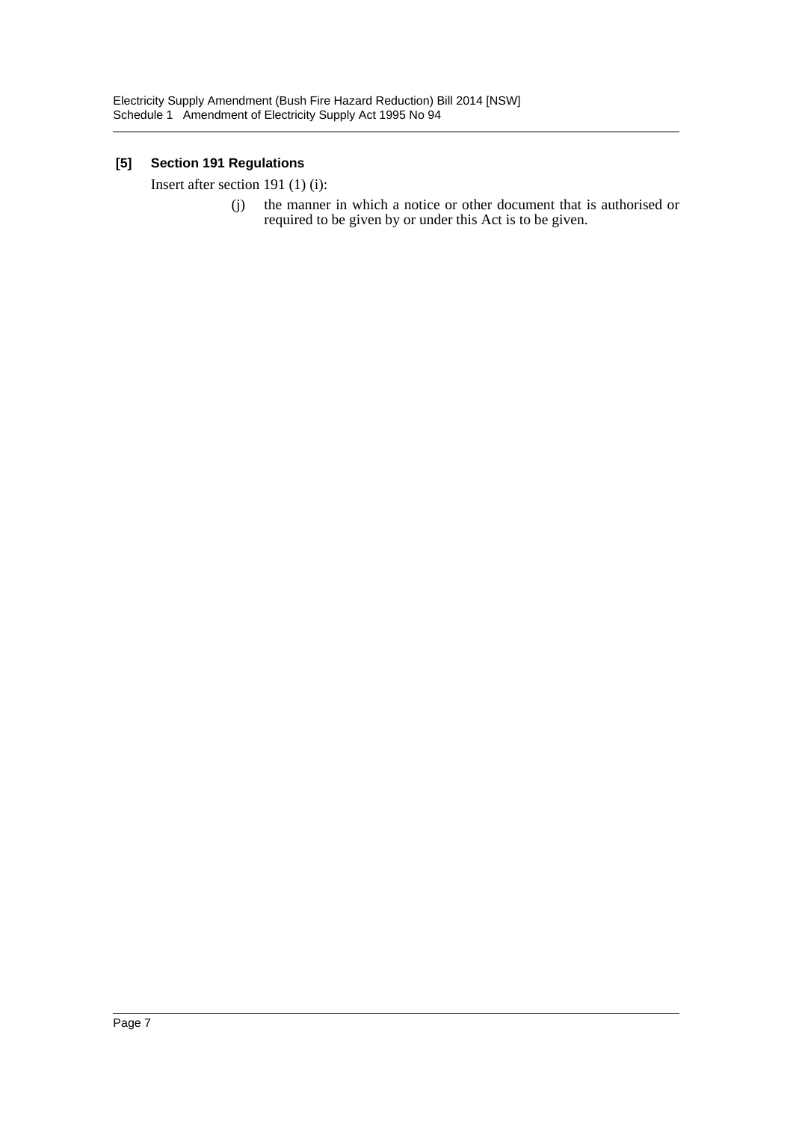# **[5] Section 191 Regulations**

Insert after section 191 (1) (i):

(j) the manner in which a notice or other document that is authorised or required to be given by or under this Act is to be given.